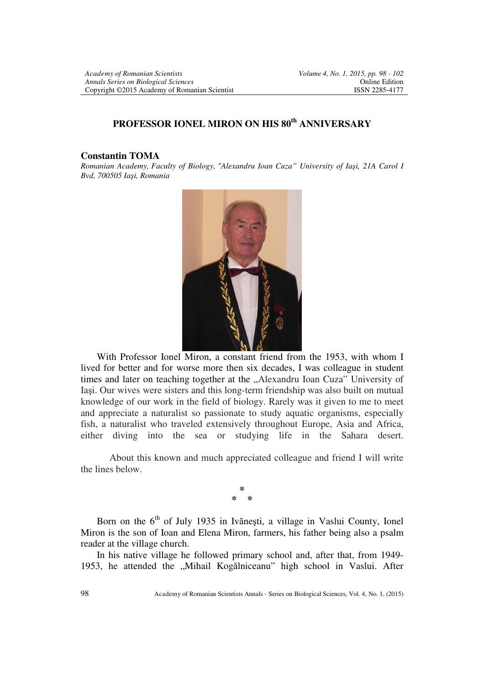## **PROFESSOR IONEL MIRON ON HIS 80th ANNIVERSARY**

## **Constantin TOMA**

*Romanian Academy, Faculty of Biology, "Alexandru Ioan Cuza" University of Iaşi, 21A Carol I Bvd, 700505 Iaşi, Romania* 



 With Professor Ionel Miron, a constant friend from the 1953, with whom I lived for better and for worse more then six decades, I was colleague in student times and later on teaching together at the "Alexandru Ioan Cuza" University of Iaşi. Our wives were sisters and this long-term friendship was also built on mutual knowledge of our work in the field of biology. Rarely was it given to me to meet and appreciate a naturalist so passionate to study aquatic organisms, especially fish, a naturalist who traveled extensively throughout Europe, Asia and Africa, either diving into the sea or studying life in the Sahara desert.

About this known and much appreciated colleague and friend I will write the lines below.

> **\* \* \***

Born on the 6<sup>th</sup> of July 1935 in Ivănești, a village in Vaslui County, Ionel Miron is the son of Ioan and Elena Miron, farmers, his father being also a psalm reader at the village church.

 In his native village he followed primary school and, after that, from 1949- 1953, he attended the "Mihail Kogălniceanu" high school in Vaslui. After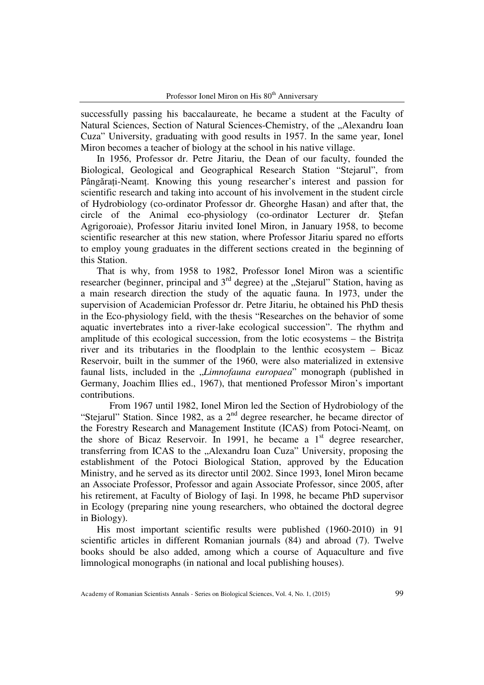successfully passing his baccalaureate, he became a student at the Faculty of Natural Sciences, Section of Natural Sciences-Chemistry, of the ...Alexandru Ioan Cuza" University, graduating with good results in 1957. In the same year, Ionel Miron becomes a teacher of biology at the school in his native village.

 In 1956, Professor dr. Petre Jitariu, the Dean of our faculty, founded the Biological, Geological and Geographical Research Station "Stejarul", from Pângărați-Neamț. Knowing this young researcher's interest and passion for scientific research and taking into account of his involvement in the student circle of Hydrobiology (co-ordinator Professor dr. Gheorghe Hasan) and after that, the circle of the Animal eco-physiology (co-ordinator Lecturer dr. Ştefan Agrigoroaie), Professor Jitariu invited Ionel Miron, in January 1958, to become scientific researcher at this new station, where Professor Jitariu spared no efforts to employ young graduates in the different sections created in the beginning of this Station.

 That is why, from 1958 to 1982, Professor Ionel Miron was a scientific researcher (beginner, principal and  $3<sup>rd</sup>$  degree) at the "Stejarul" Station, having as a main research direction the study of the aquatic fauna. In 1973, under the supervision of Academician Professor dr. Petre Jitariu, he obtained his PhD thesis in the Eco-physiology field, with the thesis "Researches on the behavior of some aquatic invertebrates into a river-lake ecological succession". The rhythm and amplitude of this ecological succession, from the lotic ecosystems  $-$  the Bistrita river and its tributaries in the floodplain to the lenthic ecosystem – Bicaz Reservoir, built in the summer of the 1960, were also materialized in extensive faunal lists, included in the "*Limnofauna europaea*" monograph (published in Germany, Joachim Illies ed., 1967), that mentioned Professor Miron's important contributions.

From 1967 until 1982, Ionel Miron led the Section of Hydrobiology of the "Stejarul" Station. Since 1982, as a 2<sup>nd</sup> degree researcher, he became director of the Forestry Research and Management Institute (ICAS) from Potoci-Neamt, on the shore of Bicaz Reservoir. In 1991, he became a  $1<sup>st</sup>$  degree researcher, transferring from ICAS to the "Alexandru Ioan Cuza" University, proposing the establishment of the Potoci Biological Station, approved by the Education Ministry, and he served as its director until 2002. Since 1993, Ionel Miron became an Associate Professor, Professor and again Associate Professor, since 2005, after his retirement, at Faculty of Biology of Iaşi. In 1998, he became PhD supervisor in Ecology (preparing nine young researchers, who obtained the doctoral degree in Biology).

 His most important scientific results were published (1960-2010) in 91 scientific articles in different Romanian journals (84) and abroad (7). Twelve books should be also added, among which a course of Aquaculture and five limnological monographs (in national and local publishing houses).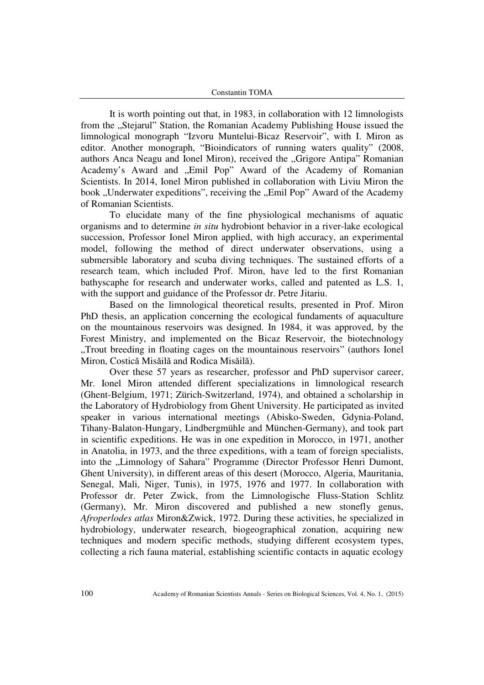It is worth pointing out that, in 1983, in collaboration with 12 limnologists from the "Stejarul" Station, the Romanian Academy Publishing House issued the limnological monograph "Izvoru Muntelui-Bicaz Reservoir", with I. Miron as editor. Another monograph, "Bioindicators of running waters quality" (2008, authors Anca Neagu and Ionel Miron), received the "Grigore Antipa" Romanian Academy's Award and "Emil Pop" Award of the Academy of Romanian Scientists. In 2014, Ionel Miron published in collaboration with Liviu Miron the book "Underwater expeditions", receiving the "Emil Pop" Award of the Academy of Romanian Scientists.

To elucidate many of the fine physiological mechanisms of aquatic organisms and to determine *in situ* hydrobiont behavior in a river-lake ecological succession, Professor Ionel Miron applied, with high accuracy, an experimental model, following the method of direct underwater observations, using a submersible laboratory and scuba diving techniques. The sustained efforts of a research team, which included Prof. Miron, have led to the first Romanian bathyscaphe for research and underwater works, called and patented as L.S. 1, with the support and guidance of the Professor dr. Petre Jitariu.

Based on the limnological theoretical results, presented in Prof. Miron PhD thesis, an application concerning the ecological fundaments of aquaculture on the mountainous reservoirs was designed. In 1984, it was approved, by the Forest Ministry, and implemented on the Bicaz Reservoir, the biotechnology "Trout breeding in floating cages on the mountainous reservoirs" (authors Ionel Miron, Costică Misăilă and Rodica Misăilă).

Over these 57 years as researcher, professor and PhD supervisor career, Mr. Ionel Miron attended different specializations in limnological research (Ghent-Belgium, 1971; Zürich-Switzerland, 1974), and obtained a scholarship in the Laboratory of Hydrobiology from Ghent University. He participated as invited speaker in various international meetings (Abisko-Sweden, Gdynia-Poland, Tihany-Balaton-Hungary, Lindbergmühle and München-Germany), and took part in scientific expeditions. He was in one expedition in Morocco, in 1971, another in Anatolia, in 1973, and the three expeditions, with a team of foreign specialists, into the "Limnology of Sahara" Programme (Director Professor Henri Dumont, Ghent University), in different areas of this desert (Morocco, Algeria, Mauritania, Senegal, Mali, Niger, Tunis), in 1975, 1976 and 1977. In collaboration with Professor dr. Peter Zwick, from the Limnologische Fluss-Station Schlitz (Germany), Mr. Miron discovered and published a new stonefly genus, *Afroperlodes atlas* Miron&Zwick, 1972. During these activities, he specialized in hydrobiology, underwater research, biogeographical zonation, acquiring new techniques and modern specific methods, studying different ecosystem types, collecting a rich fauna material, establishing scientific contacts in aquatic ecology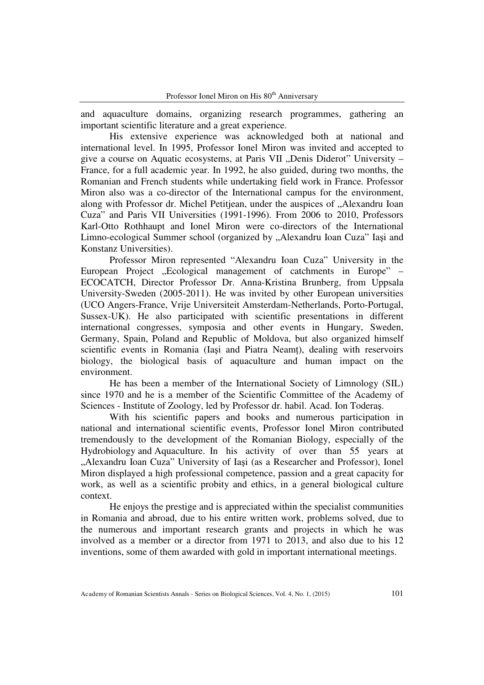and aquaculture domains, organizing research programmes, gathering an important scientific literature and a great experience.

His extensive experience was acknowledged both at national and international level. In 1995, Professor Ionel Miron was invited and accepted to give a course on Aquatic ecosystems, at Paris VII "Denis Diderot" University – France, for a full academic year. In 1992, he also guided, during two months, the Romanian and French students while undertaking field work in France. Professor Miron also was a co-director of the International campus for the environment, along with Professor dr. Michel Petitjean, under the auspices of "Alexandru Ioan Cuza" and Paris VII Universities (1991-1996). From 2006 to 2010, Professors Karl-Otto Rothhaupt and Ionel Miron were co-directors of the International Limno-ecological Summer school (organized by "Alexandru Ioan Cuza" Iași and Konstanz Universities).

Professor Miron represented "Alexandru Ioan Cuza" University in the European Project "Ecological management of catchments in Europe" – ECOCATCH, Director Professor Dr. Anna-Kristina Brunberg, from Uppsala University-Sweden (2005-2011). He was invited by other European universities (UCO Angers-France, Vrije Universiteit Amsterdam-Netherlands, Porto-Portugal, Sussex-UK). He also participated with scientific presentations in different international congresses, symposia and other events in Hungary, Sweden, Germany, Spain, Poland and Republic of Moldova, but also organized himself scientific events in Romania (Iași and Piatra Neamț), dealing with reservoirs biology, the biological basis of aquaculture and human impact on the environment.

He has been a member of the International Society of Limnology (SIL) since 1970 and he is a member of the Scientific Committee of the Academy of Sciences - Institute of Zoology, led by Professor dr. habil. Acad. Ion Toderaş.

With his scientific papers and books and numerous participation in national and international scientific events, Professor Ionel Miron contributed tremendously to the development of the Romanian Biology, especially of the Hydrobiology and Aquaculture. In his activity of over than 55 years at "Alexandru Ioan Cuza" University of Iași (as a Researcher and Professor), Ionel Miron displayed a high professional competence, passion and a great capacity for work, as well as a scientific probity and ethics, in a general biological culture context.

He enjoys the prestige and is appreciated within the specialist communities in Romania and abroad, due to his entire written work, problems solved, due to the numerous and important research grants and projects in which he was involved as a member or a director from 1971 to 2013, and also due to his 12 inventions, some of them awarded with gold in important international meetings.